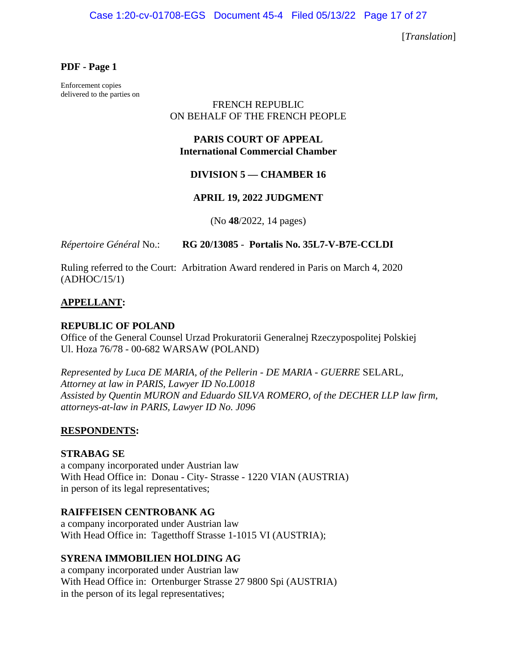Case 1:20-cv-01708-EGS Document 45-4 Filed 05/13/22 Page 17 of 27

[*Translation*]

#### **PDF - Page 1**

Enforcement copies delivered to the parties on

### FRENCH REPUBLIC ON BEHALF OF THE FRENCH PEOPLE

## **PARIS COURT OF APPEAL International Commercial Chamber**

### **DIVISION 5 — CHAMBER 16**

#### **APRIL 19, 2022 JUDGMENT**

(No **48**/2022, 14 pages)

*Répertoire Général* No.: **RG 20/13085** - **Portalis No. 35L7-V-B7E-CCLDI** 

Ruling referred to the Court: Arbitration Award rendered in Paris on March 4, 2020 (ADHOC/15/1)

### **APPELLANT:**

#### **REPUBLIC OF POLAND**

Office of the General Counsel Urzad Prokuratorii Generalnej Rzeczypospolitej Polskiej Ul. Hoza 76/78 - 00-682 WARSAW (POLAND)

*Represented by Luca DE MARIA, of the Pellerin - DE MARIA - GUERRE* SELARL*, Attorney at law in PARIS, Lawyer ID No.L0018 Assisted by Quentin MURON and Eduardo SILVA ROMERO, of the DECHER LLP law firm, attorneys-at-law in PARIS, Lawyer ID No. J096* 

#### **RESPONDENTS:**

#### **STRABAG SE**

a company incorporated under Austrian law With Head Office in: Donau - City- Strasse - 1220 VIAN (AUSTRIA) in person of its legal representatives;

#### **RAIFFEISEN CENTROBANK AG**

a company incorporated under Austrian law With Head Office in: Tagetthoff Strasse 1-1015 VI (AUSTRIA);

## **SYRENA IMMOBILIEN HOLDING AG**

a company incorporated under Austrian law With Head Office in: Ortenburger Strasse 27 9800 Spi (AUSTRIA) in the person of its legal representatives;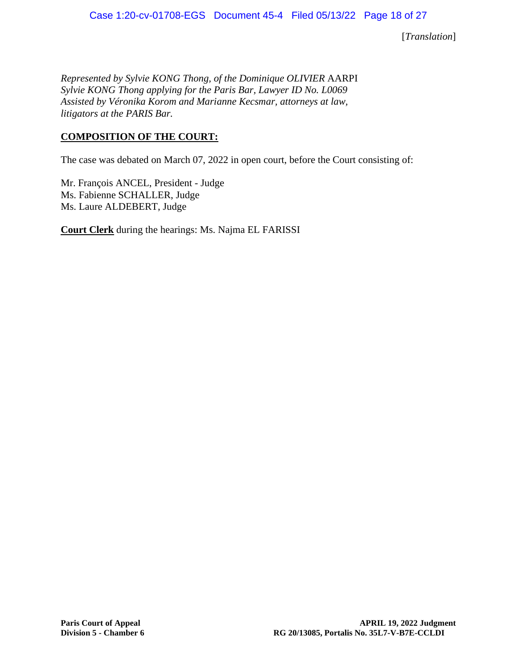*Represented by Sylvie KONG Thong, of the Dominique OLIVIER* AARPI *Sylvie KONG Thong applying for the Paris Bar, Lawyer ID No. L0069 Assisted by Véronika Korom and Marianne Kecsmar, attorneys at law, litigators at the PARIS Bar.* 

## **COMPOSITION OF THE COURT:**

The case was debated on March 07, 2022 in open court, before the Court consisting of:

Mr. François ANCEL, President - Judge Ms. Fabienne SCHALLER, Judge Ms. Laure ALDEBERT, Judge

**Court Clerk** during the hearings: Ms. Najma EL FARISSI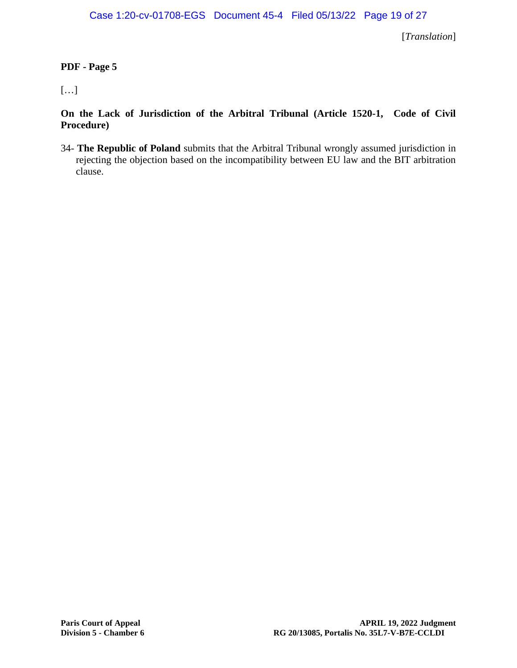## **PDF - Page 5**

# […]

**On the Lack of Jurisdiction of the Arbitral Tribunal (Article 1520-1, Code of Civil Procedure)** 

34- **The Republic of Poland** submits that the Arbitral Tribunal wrongly assumed jurisdiction in rejecting the objection based on the incompatibility between EU law and the BIT arbitration clause.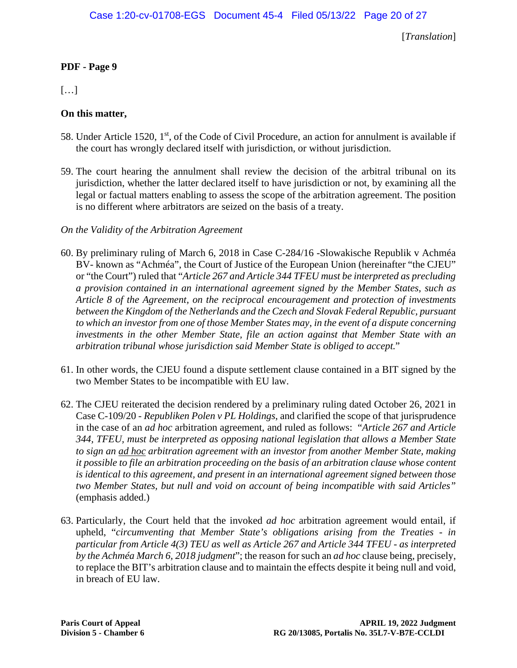## **PDF - Page 9**

[…]

## **On this matter,**

- 58. Under Article 1520,  $1<sup>st</sup>$ , of the Code of Civil Procedure, an action for annulment is available if the court has wrongly declared itself with jurisdiction, or without jurisdiction.
- 59. The court hearing the annulment shall review the decision of the arbitral tribunal on its jurisdiction, whether the latter declared itself to have jurisdiction or not, by examining all the legal or factual matters enabling to assess the scope of the arbitration agreement. The position is no different where arbitrators are seized on the basis of a treaty.
- *On the Validity of the Arbitration Agreement*
- 60. By preliminary ruling of March 6, 2018 in Case C-284/16 -Slowakische Republik v Achméa BV- known as "Achméa", the Court of Justice of the European Union (hereinafter "the CJEU" or "the Court") ruled that "*Article 267 and Article 344 TFEU must be interpreted as precluding a provision contained in an international agreement signed by the Member States, such as Article 8 of the Agreement, on the reciprocal encouragement and protection of investments between the Kingdom of the Netherlands and the Czech and Slovak Federal Republic, pursuant to which an investor from one of those Member States may, in the event of a dispute concerning investments in the other Member State, file an action against that Member State with an arbitration tribunal whose jurisdiction said Member State is obliged to accept.*"
- 61. In other words, the CJEU found a dispute settlement clause contained in a BIT signed by the two Member States to be incompatible with EU law.
- 62. The CJEU reiterated the decision rendered by a preliminary ruling dated October 26, 2021 in Case C-109/20 - *Republiken Polen v PL Holdings*, and clarified the scope of that jurisprudence in the case of an *ad hoc* arbitration agreement, and ruled as follows: "*Article 267 and Article 344, TFEU, must be interpreted as opposing national legislation that allows a Member State to sign an ad hoc arbitration agreement with an investor from another Member State, making it possible to file an arbitration proceeding on the basis of an arbitration clause whose content is identical to this agreement, and present in an international agreement signed between those two Member States, but null and void on account of being incompatible with said Articles"* (emphasis added.)
- 63. Particularly, the Court held that the invoked *ad hoc* arbitration agreement would entail, if upheld, "*circumventing that Member State's obligations arising from the Treaties - in particular from Article 4(3) TEU as well as Article 267 and Article 344 TFEU - as interpreted by the Achméa March 6, 2018 judgment*"; the reason for such an *ad hoc* clause being, precisely, to replace the BIT's arbitration clause and to maintain the effects despite it being null and void, in breach of EU law.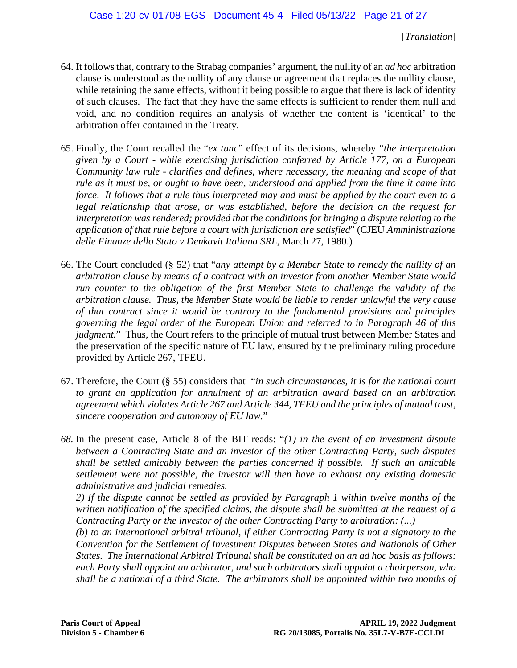- 64. It follows that, contrary to the Strabag companies' argument, the nullity of an *ad hoc* arbitration clause is understood as the nullity of any clause or agreement that replaces the nullity clause, while retaining the same effects, without it being possible to argue that there is lack of identity of such clauses. The fact that they have the same effects is sufficient to render them null and void, and no condition requires an analysis of whether the content is 'identical' to the arbitration offer contained in the Treaty.
- 65. Finally, the Court recalled the "*ex tunc*" effect of its decisions, whereby "*the interpretation given by a Court - while exercising jurisdiction conferred by Article 177, on a European Community law rule - clarifies and defines, where necessary, the meaning and scope of that rule as it must be, or ought to have been, understood and applied from the time it came into force*. *It follows that a rule thus interpreted may and must be applied by the court even to a legal relationship that arose, or was established, before the decision on the request for interpretation was rendered; provided that the conditions for bringing a dispute relating to the application of that rule before a court with jurisdiction are satisfied*" (CJEU *Amministrazione delle Finanze dello Stato v Denkavit Italiana SRL*, March 27, 1980.)
- 66. The Court concluded (§ 52) that "*any attempt by a Member State to remedy the nullity of an arbitration clause by means of a contract with an investor from another Member State would run counter to the obligation of the first Member State to challenge the validity of the arbitration clause. Thus, the Member State would be liable to render unlawful the very cause of that contract since it would be contrary to the fundamental provisions and principles governing the legal order of the European Union and referred to in Paragraph 46 of this judgment.*" Thus, the Court refers to the principle of mutual trust between Member States and the preservation of the specific nature of EU law, ensured by the preliminary ruling procedure provided by Article 267, TFEU.
- 67. Therefore, the Court (§ 55) considers that "*in such circumstances, it is for the national court*  to grant an application for annulment of an arbitration award based on an arbitration *agreement which violates Article 267 and Article 344, TFEU and the principles of mutual trust, sincere cooperation and autonomy of EU law.*"
- *68.* In the present case, Article 8 of the BIT reads: "*(1) in the event of an investment dispute between a Contracting State and an investor of the other Contracting Party, such disputes shall be settled amicably between the parties concerned if possible. If such an amicable settlement were not possible, the investor will then have to exhaust any existing domestic administrative and judicial remedies.*

*2) If the dispute cannot be settled as provided by Paragraph 1 within twelve months of the written notification of the specified claims, the dispute shall be submitted at the request of a Contracting Party or the investor of the other Contracting Party to arbitration: (...)* 

*(b) to an international arbitral tribunal, if either Contracting Party is not a signatory to the Convention for the Settlement of Investment Disputes between States and Nationals of Other States. The International Arbitral Tribunal shall be constituted on an ad hoc basis as follows: each Party shall appoint an arbitrator, and such arbitrators shall appoint a chairperson, who shall be a national of a third State. The arbitrators shall be appointed within two months of*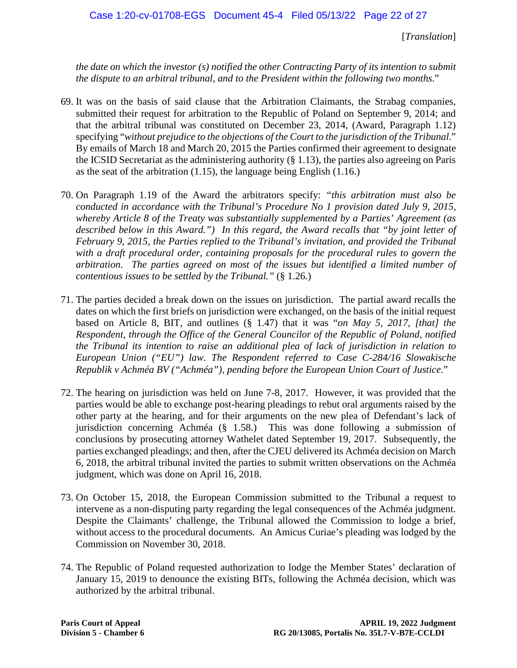*the date on which the investor (s) notified the other Contracting Party of its intention to submit the dispute to an arbitral tribunal, and to the President within the following two months.*"

- 69. It was on the basis of said clause that the Arbitration Claimants, the Strabag companies, submitted their request for arbitration to the Republic of Poland on September 9, 2014; and that the arbitral tribunal was constituted on December 23, 2014, (Award, Paragraph 1.12) specifying "*without prejudice to the objections of the Court to the jurisdiction of the Tribunal*." By emails of March 18 and March 20, 2015 the Parties confirmed their agreement to designate the ICSID Secretariat as the administering authority (§ 1.13), the parties also agreeing on Paris as the seat of the arbitration (1.15), the language being English (1.16.)
- 70. On Paragraph 1.19 of the Award the arbitrators specify: *"this arbitration must also be conducted in accordance with the Tribunal's Procedure No 1 provision dated July 9, 2015, whereby Article 8 of the Treaty was substantially supplemented by a Parties' Agreement (as*  described below in this Award.") In this regard, the Award recalls that "by joint letter of *February 9, 2015, the Parties replied to the Tribunal's invitation, and provided the Tribunal with a draft procedural order, containing proposals for the procedural rules to govern the arbitration. The parties agreed on most of the issues but identified a limited number of contentious issues to be settled by the Tribunal."* (§ 1.26.)
- 71. The parties decided a break down on the issues on jurisdiction. The partial award recalls the dates on which the first briefs on jurisdiction were exchanged, on the basis of the initial request based on Article 8, BIT, and outlines (§ 1.47) that it was "*on May 5, 2017, [that] the Respondent, through the Office of the General Councilor of the Republic of Poland, notified the Tribunal its intention to raise an additional plea of lack of jurisdiction in relation to European Union ("EU") law. The Respondent referred to Case C-284/16 Slowakische Republik v Achméa BV ("Achméa"), pending before the European Union Court of Justice*."
- 72. The hearing on jurisdiction was held on June 7-8, 2017. However, it was provided that the parties would be able to exchange post-hearing pleadings to rebut oral arguments raised by the other party at the hearing, and for their arguments on the new plea of Defendant's lack of jurisdiction concerning Achméa (§ 1.58.) This was done following a submission of conclusions by prosecuting attorney Wathelet dated September 19, 2017. Subsequently, the parties exchanged pleadings; and then, after the CJEU delivered its Achméa decision on March 6, 2018, the arbitral tribunal invited the parties to submit written observations on the Achméa judgment, which was done on April 16, 2018.
- 73. On October 15, 2018, the European Commission submitted to the Tribunal a request to intervene as a non-disputing party regarding the legal consequences of the Achméa judgment. Despite the Claimants' challenge, the Tribunal allowed the Commission to lodge a brief, without access to the procedural documents. An Amicus Curiae's pleading was lodged by the Commission on November 30, 2018.
- 74. The Republic of Poland requested authorization to lodge the Member States' declaration of January 15, 2019 to denounce the existing BITs, following the Achméa decision, which was authorized by the arbitral tribunal.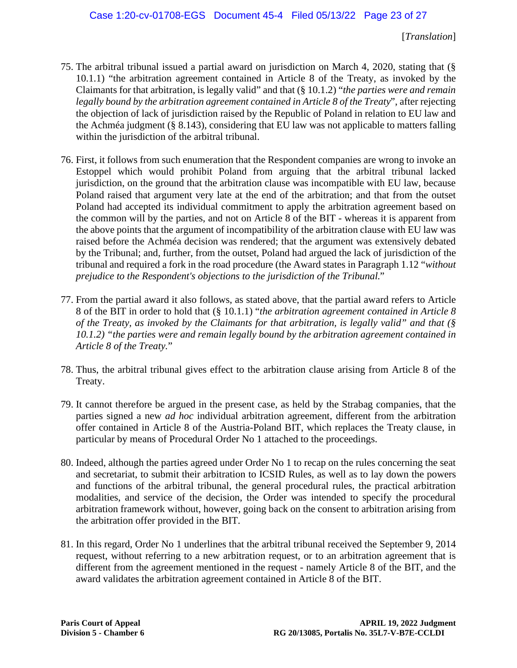- 75. The arbitral tribunal issued a partial award on jurisdiction on March 4, 2020, stating that (§ 10.1.1) "the arbitration agreement contained in Article 8 of the Treaty, as invoked by the Claimants for that arbitration, is legally valid" and that (§ 10.1.2) "*the parties were and remain legally bound by the arbitration agreement contained in Article 8 of the Treaty*", after rejecting the objection of lack of jurisdiction raised by the Republic of Poland in relation to EU law and the Achméa judgment (§ 8.143), considering that EU law was not applicable to matters falling within the jurisdiction of the arbitral tribunal.
- 76. First, it follows from such enumeration that the Respondent companies are wrong to invoke an Estoppel which would prohibit Poland from arguing that the arbitral tribunal lacked jurisdiction, on the ground that the arbitration clause was incompatible with EU law, because Poland raised that argument very late at the end of the arbitration; and that from the outset Poland had accepted its individual commitment to apply the arbitration agreement based on the common will by the parties, and not on Article 8 of the BIT - whereas it is apparent from the above points that the argument of incompatibility of the arbitration clause with EU law was raised before the Achméa decision was rendered; that the argument was extensively debated by the Tribunal; and, further, from the outset, Poland had argued the lack of jurisdiction of the tribunal and required a fork in the road procedure (the Award states in Paragraph 1.12 "*without prejudice to the Respondent's objections to the jurisdiction of the Tribunal.*"
- 77. From the partial award it also follows, as stated above, that the partial award refers to Article 8 of the BIT in order to hold that (§ 10.1.1) "*the arbitration agreement contained in Article 8 of the Treaty, as invoked by the Claimants for that arbitration, is legally valid" and that (§ 10.1.2) "the parties were and remain legally bound by the arbitration agreement contained in Article 8 of the Treaty.*"
- 78. Thus, the arbitral tribunal gives effect to the arbitration clause arising from Article 8 of the Treaty.
- 79. It cannot therefore be argued in the present case, as held by the Strabag companies, that the parties signed a new *ad hoc* individual arbitration agreement, different from the arbitration offer contained in Article 8 of the Austria-Poland BIT, which replaces the Treaty clause, in particular by means of Procedural Order No 1 attached to the proceedings.
- 80. Indeed, although the parties agreed under Order No 1 to recap on the rules concerning the seat and secretariat, to submit their arbitration to ICSID Rules, as well as to lay down the powers and functions of the arbitral tribunal, the general procedural rules, the practical arbitration modalities, and service of the decision, the Order was intended to specify the procedural arbitration framework without, however, going back on the consent to arbitration arising from the arbitration offer provided in the BIT.
- 81. In this regard, Order No 1 underlines that the arbitral tribunal received the September 9, 2014 request, without referring to a new arbitration request, or to an arbitration agreement that is different from the agreement mentioned in the request - namely Article 8 of the BIT, and the award validates the arbitration agreement contained in Article 8 of the BIT.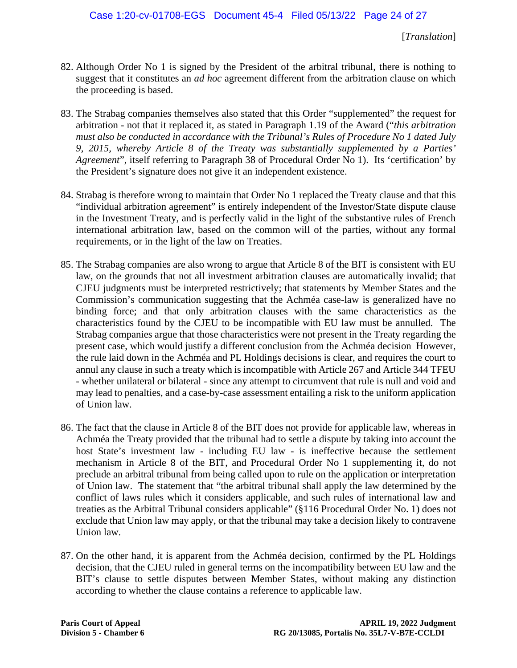- 82. Although Order No 1 is signed by the President of the arbitral tribunal, there is nothing to suggest that it constitutes an *ad hoc* agreement different from the arbitration clause on which the proceeding is based.
- 83. The Strabag companies themselves also stated that this Order "supplemented" the request for arbitration - not that it replaced it, as stated in Paragraph 1.19 of the Award ("*this arbitration must also be conducted in accordance with the Tribunal's Rules of Procedure No 1 dated July 9, 2015, whereby Article 8 of the Treaty was substantially supplemented by a Parties' Agreement*", itself referring to Paragraph 38 of Procedural Order No 1). Its 'certification' by the President's signature does not give it an independent existence.
- 84. Strabag is therefore wrong to maintain that Order No 1 replaced the Treaty clause and that this "individual arbitration agreement" is entirely independent of the Investor/State dispute clause in the Investment Treaty, and is perfectly valid in the light of the substantive rules of French international arbitration law, based on the common will of the parties, without any formal requirements, or in the light of the law on Treaties.
- 85. The Strabag companies are also wrong to argue that Article 8 of the BIT is consistent with EU law, on the grounds that not all investment arbitration clauses are automatically invalid; that CJEU judgments must be interpreted restrictively; that statements by Member States and the Commission's communication suggesting that the Achméa case-law is generalized have no binding force; and that only arbitration clauses with the same characteristics as the characteristics found by the CJEU to be incompatible with EU law must be annulled. The Strabag companies argue that those characteristics were not present in the Treaty regarding the present case, which would justify a different conclusion from the Achméa decision However, the rule laid down in the Achméa and PL Holdings decisions is clear, and requires the court to annul any clause in such a treaty which is incompatible with Article 267 and Article 344 TFEU - whether unilateral or bilateral - since any attempt to circumvent that rule is null and void and may lead to penalties, and a case-by-case assessment entailing a risk to the uniform application of Union law.
- 86. The fact that the clause in Article 8 of the BIT does not provide for applicable law, whereas in Achméa the Treaty provided that the tribunal had to settle a dispute by taking into account the host State's investment law - including EU law - is ineffective because the settlement mechanism in Article 8 of the BIT, and Procedural Order No 1 supplementing it, do not preclude an arbitral tribunal from being called upon to rule on the application or interpretation of Union law. The statement that "the arbitral tribunal shall apply the law determined by the conflict of laws rules which it considers applicable, and such rules of international law and treaties as the Arbitral Tribunal considers applicable" (§116 Procedural Order No. 1) does not exclude that Union law may apply, or that the tribunal may take a decision likely to contravene Union law.
- 87. On the other hand, it is apparent from the Achméa decision, confirmed by the PL Holdings decision, that the CJEU ruled in general terms on the incompatibility between EU law and the BIT's clause to settle disputes between Member States, without making any distinction according to whether the clause contains a reference to applicable law.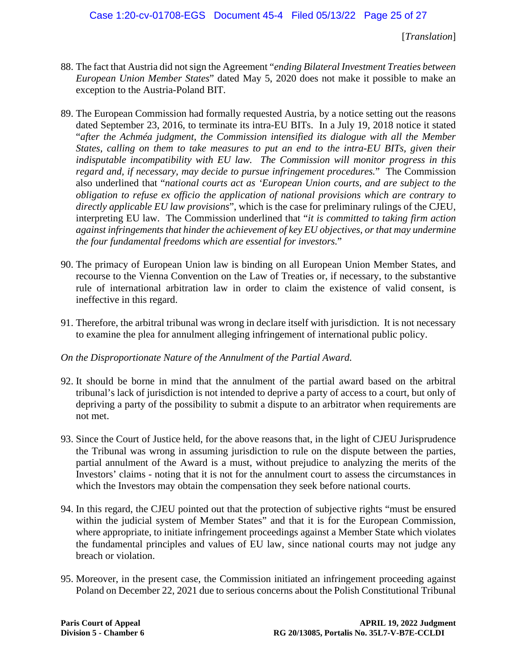- 88. The fact that Austria did not sign the Agreement "*ending Bilateral Investment Treaties between European Union Member States*" dated May 5, 2020 does not make it possible to make an exception to the Austria-Poland BIT.
- 89. The European Commission had formally requested Austria, by a notice setting out the reasons dated September 23, 2016, to terminate its intra-EU BITs. In a July 19, 2018 notice it stated "*after the Achméa judgment, the Commission intensified its dialogue with all the Member States, calling on them to take measures to put an end to the intra-EU BITs, given their indisputable incompatibility with EU law. The Commission will monitor progress in this regard and, if necessary, may decide to pursue infringement procedures.*" The Commission also underlined that "*national courts act as 'European Union courts, and are subject to the obligation to refuse ex officio the application of national provisions which are contrary to directly applicable EU law provisions*", which is the case for preliminary rulings of the CJEU, interpreting EU law. The Commission underlined that "*it is committed to taking firm action against infringements that hinder the achievement of key EU objectives, or that may undermine the four fundamental freedoms which are essential for investors.*"
- 90. The primacy of European Union law is binding on all European Union Member States, and recourse to the Vienna Convention on the Law of Treaties or, if necessary, to the substantive rule of international arbitration law in order to claim the existence of valid consent, is ineffective in this regard.
- 91. Therefore, the arbitral tribunal was wrong in declare itself with jurisdiction. It is not necessary to examine the plea for annulment alleging infringement of international public policy.

## *On the Disproportionate Nature of the Annulment of the Partial Award.*

- 92. It should be borne in mind that the annulment of the partial award based on the arbitral tribunal's lack of jurisdiction is not intended to deprive a party of access to a court, but only of depriving a party of the possibility to submit a dispute to an arbitrator when requirements are not met.
- 93. Since the Court of Justice held, for the above reasons that, in the light of CJEU Jurisprudence the Tribunal was wrong in assuming jurisdiction to rule on the dispute between the parties, partial annulment of the Award is a must, without prejudice to analyzing the merits of the Investors' claims - noting that it is not for the annulment court to assess the circumstances in which the Investors may obtain the compensation they seek before national courts.
- 94. In this regard, the CJEU pointed out that the protection of subjective rights "must be ensured within the judicial system of Member States" and that it is for the European Commission, where appropriate, to initiate infringement proceedings against a Member State which violates the fundamental principles and values of EU law, since national courts may not judge any breach or violation.
- 95. Moreover, in the present case, the Commission initiated an infringement proceeding against Poland on December 22, 2021 due to serious concerns about the Polish Constitutional Tribunal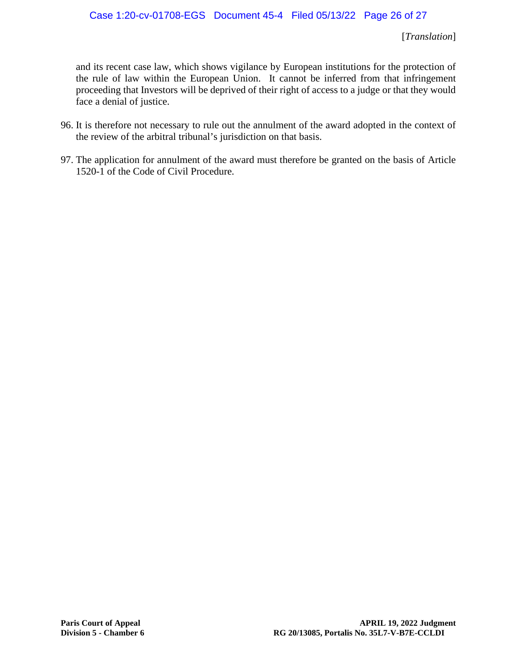and its recent case law, which shows vigilance by European institutions for the protection of the rule of law within the European Union. It cannot be inferred from that infringement proceeding that Investors will be deprived of their right of access to a judge or that they would face a denial of justice.

- 96. It is therefore not necessary to rule out the annulment of the award adopted in the context of the review of the arbitral tribunal's jurisdiction on that basis.
- 97. The application for annulment of the award must therefore be granted on the basis of Article 1520-1 of the Code of Civil Procedure.